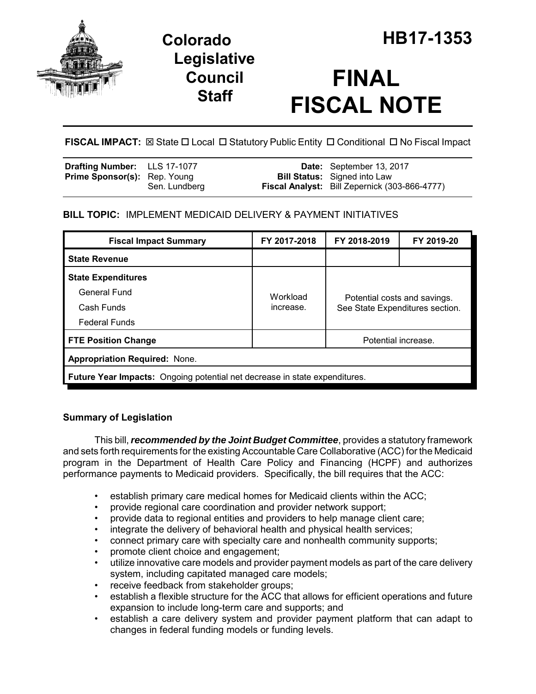

## **Legislative Council Staff**

# **FINAL FISCAL NOTE**

FISCAL IMPACT:  $\boxtimes$  State  $\Box$  Local  $\Box$  Statutory Public Entity  $\Box$  Conditional  $\Box$  No Fiscal Impact

| <b>Drafting Number:</b> LLS 17-1077 |               | Date: September 13, 2017                                                                    |
|-------------------------------------|---------------|---------------------------------------------------------------------------------------------|
| <b>Prime Sponsor(s):</b> Rep. Young | Sen. Lundberg | <b>Bill Status:</b> Signed into Law<br><b>Fiscal Analyst:</b> Bill Zepernick (303-866-4777) |
|                                     |               |                                                                                             |

## **BILL TOPIC:** IMPLEMENT MEDICAID DELIVERY & PAYMENT INITIATIVES

| <b>Fiscal Impact Summary</b>                                                      | FY 2017-2018                                                                             | FY 2018-2019 | FY 2019-20          |  |  |  |
|-----------------------------------------------------------------------------------|------------------------------------------------------------------------------------------|--------------|---------------------|--|--|--|
| <b>State Revenue</b>                                                              |                                                                                          |              |                     |  |  |  |
| <b>State Expenditures</b>                                                         |                                                                                          |              |                     |  |  |  |
| General Fund                                                                      | Workload<br>Potential costs and savings.<br>increase.<br>See State Expenditures section. |              |                     |  |  |  |
| Cash Funds                                                                        |                                                                                          |              |                     |  |  |  |
| <b>Federal Funds</b>                                                              |                                                                                          |              |                     |  |  |  |
| <b>FTE Position Change</b>                                                        |                                                                                          |              | Potential increase. |  |  |  |
| <b>Appropriation Required: None.</b>                                              |                                                                                          |              |                     |  |  |  |
| <b>Future Year Impacts:</b> Ongoing potential net decrease in state expenditures. |                                                                                          |              |                     |  |  |  |

## **Summary of Legislation**

This bill, *recommended by the Joint Budget Committee*, provides a statutory framework and sets forth requirements for the existing Accountable Care Collaborative (ACC) for the Medicaid program in the Department of Health Care Policy and Financing (HCPF) and authorizes performance payments to Medicaid providers. Specifically, the bill requires that the ACC:

- establish primary care medical homes for Medicaid clients within the ACC;
- provide regional care coordination and provider network support;
- provide data to regional entities and providers to help manage client care;
- integrate the delivery of behavioral health and physical health services;
- connect primary care with specialty care and nonhealth community supports;
- promote client choice and engagement;
- utilize innovative care models and provider payment models as part of the care delivery system, including capitated managed care models;
- receive feedback from stakeholder groups;
- establish a flexible structure for the ACC that allows for efficient operations and future expansion to include long-term care and supports; and
- establish a care delivery system and provider payment platform that can adapt to changes in federal funding models or funding levels.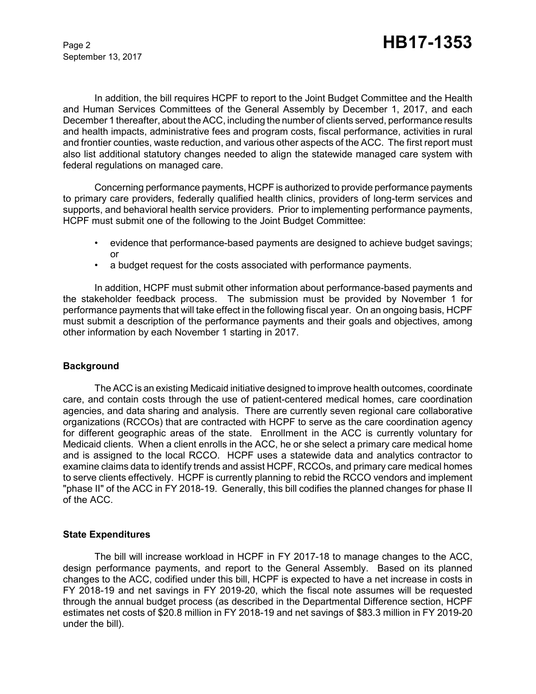September 13, 2017

In addition, the bill requires HCPF to report to the Joint Budget Committee and the Health and Human Services Committees of the General Assembly by December 1, 2017, and each December 1 thereafter, about the ACC, including the number of clients served, performance results and health impacts, administrative fees and program costs, fiscal performance, activities in rural and frontier counties, waste reduction, and various other aspects of the ACC. The first report must also list additional statutory changes needed to align the statewide managed care system with federal regulations on managed care.

Concerning performance payments, HCPF is authorized to provide performance payments to primary care providers, federally qualified health clinics, providers of long-term services and supports, and behavioral health service providers. Prior to implementing performance payments, HCPF must submit one of the following to the Joint Budget Committee:

- evidence that performance-based payments are designed to achieve budget savings; or
- a budget request for the costs associated with performance payments.

In addition, HCPF must submit other information about performance-based payments and the stakeholder feedback process. The submission must be provided by November 1 for performance payments that will take effect in the following fiscal year. On an ongoing basis, HCPF must submit a description of the performance payments and their goals and objectives, among other information by each November 1 starting in 2017.

#### **Background**

The ACC is an existing Medicaid initiative designed to improve health outcomes, coordinate care, and contain costs through the use of patient-centered medical homes, care coordination agencies, and data sharing and analysis. There are currently seven regional care collaborative organizations (RCCOs) that are contracted with HCPF to serve as the care coordination agency for different geographic areas of the state. Enrollment in the ACC is currently voluntary for Medicaid clients. When a client enrolls in the ACC, he or she select a primary care medical home and is assigned to the local RCCO. HCPF uses a statewide data and analytics contractor to examine claims data to identify trends and assist HCPF, RCCOs, and primary care medical homes to serve clients effectively. HCPF is currently planning to rebid the RCCO vendors and implement "phase II" of the ACC in FY 2018-19. Generally, this bill codifies the planned changes for phase II of the ACC.

#### **State Expenditures**

The bill will increase workload in HCPF in FY 2017-18 to manage changes to the ACC, design performance payments, and report to the General Assembly. Based on its planned changes to the ACC, codified under this bill, HCPF is expected to have a net increase in costs in FY 2018-19 and net savings in FY 2019-20, which the fiscal note assumes will be requested through the annual budget process (as described in the Departmental Difference section, HCPF estimates net costs of \$20.8 million in FY 2018-19 and net savings of \$83.3 million in FY 2019-20 under the bill).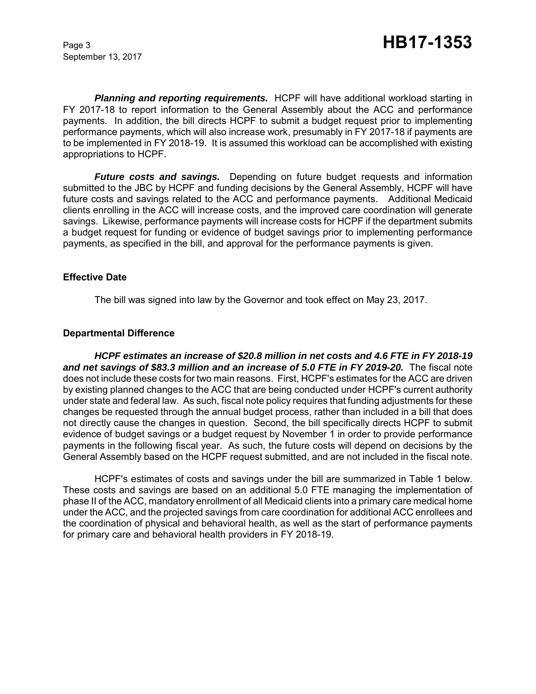September 13, 2017

*Planning and reporting requirements.* HCPF will have additional workload starting in FY 2017-18 to report information to the General Assembly about the ACC and performance payments. In addition, the bill directs HCPF to submit a budget request prior to implementing performance payments, which will also increase work, presumably in FY 2017-18 if payments are to be implemented in FY 2018-19. It is assumed this workload can be accomplished with existing appropriations to HCPF.

*Future costs and savings.* Depending on future budget requests and information submitted to the JBC by HCPF and funding decisions by the General Assembly, HCPF will have future costs and savings related to the ACC and performance payments. Additional Medicaid clients enrolling in the ACC will increase costs, and the improved care coordination will generate savings. Likewise, performance payments will increase costs for HCPF if the department submits a budget request for funding or evidence of budget savings prior to implementing performance payments, as specified in the bill, and approval for the performance payments is given.

#### **Effective Date**

The bill was signed into law by the Governor and took effect on May 23, 2017.

#### **Departmental Difference**

*HCPF estimates an increase of \$20.8 million in net costs and 4.6 FTE in FY 2018-19 and net savings of \$83.3 million and an increase of 5.0 FTE in FY 2019-20.* The fiscal note does not include these costs for two main reasons. First, HCPF's estimates for the ACC are driven by existing planned changes to the ACC that are being conducted under HCPF's current authority under state and federal law. As such, fiscal note policy requires that funding adjustments for these changes be requested through the annual budget process, rather than included in a bill that does not directly cause the changes in question. Second, the bill specifically directs HCPF to submit evidence of budget savings or a budget request by November 1 in order to provide performance payments in the following fiscal year. As such, the future costs will depend on decisions by the General Assembly based on the HCPF request submitted, and are not included in the fiscal note.

HCPF's estimates of costs and savings under the bill are summarized in Table 1 below. These costs and savings are based on an additional 5.0 FTE managing the implementation of phase II of the ACC, mandatory enrollment of all Medicaid clients into a primary care medical home under the ACC, and the projected savings from care coordination for additional ACC enrollees and the coordination of physical and behavioral health, as well as the start of performance payments for primary care and behavioral health providers in FY 2018-19.